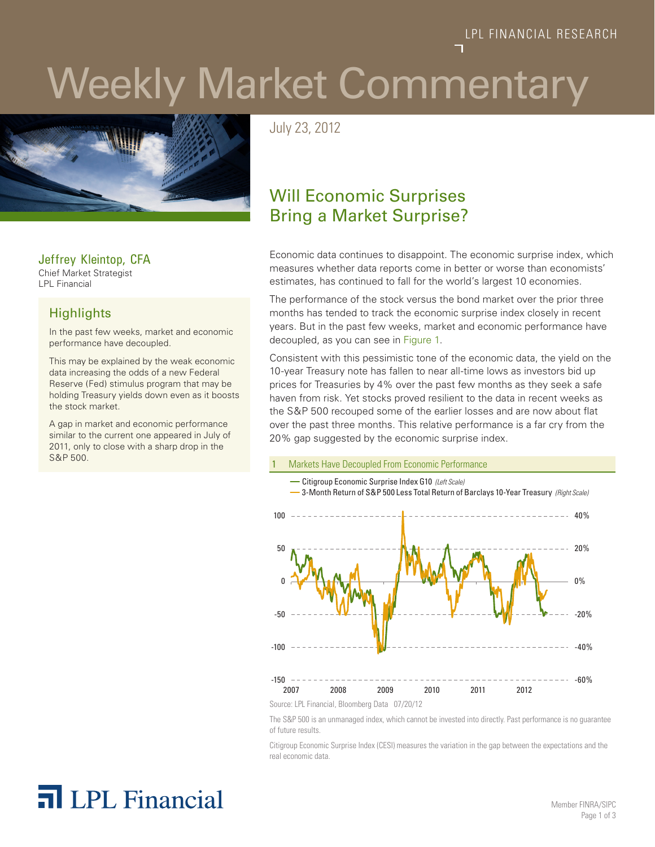# Weekly Market Commentary



Jeffrey Kleintop, CFA Chief Market Strategist LPL Financial

#### **Highlights**

In the past few weeks, market and economic performance have decoupled.

This may be explained by the weak economic data increasing the odds of a new Federal Reserve (Fed) stimulus program that may be holding Treasury yields down even as it boosts the stock market.

A gap in market and economic performance similar to the current one appeared in July of 2011, only to close with a sharp drop in the S&P 500.

July 23, 2012

### Will Economic Surprises Bring a Market Surprise?

Economic data continues to disappoint. The economic surprise index, which measures whether data reports come in better or worse than economists' estimates, has continued to fall for the world's largest 10 economies.

The performance of the stock versus the bond market over the prior three months has tended to track the economic surprise index closely in recent years. But in the past few weeks, market and economic performance have decoupled, as you can see in Figure 1.

Consistent with this pessimistic tone of the economic data, the yield on the 10-year Treasury note has fallen to near all-time lows as investors bid up prices for Treasuries by 4% over the past few months as they seek a safe haven from risk. Yet stocks proved resilient to the data in recent weeks as the S&P 500 recouped some of the earlier losses and are now about flat over the past three months. This relative performance is a far cry from the 20% gap suggested by the economic surprise index.

#### 1 Markets Have Decoupled From Economic Performance



The S&P 500 is an unmanaged index, which cannot be invested into directly. Past performance is no guarantee of future results.

Citigroup Economic Surprise Index (CESI) measures the variation in the gap between the expectations and the real economic data.

## **n** LPL Financial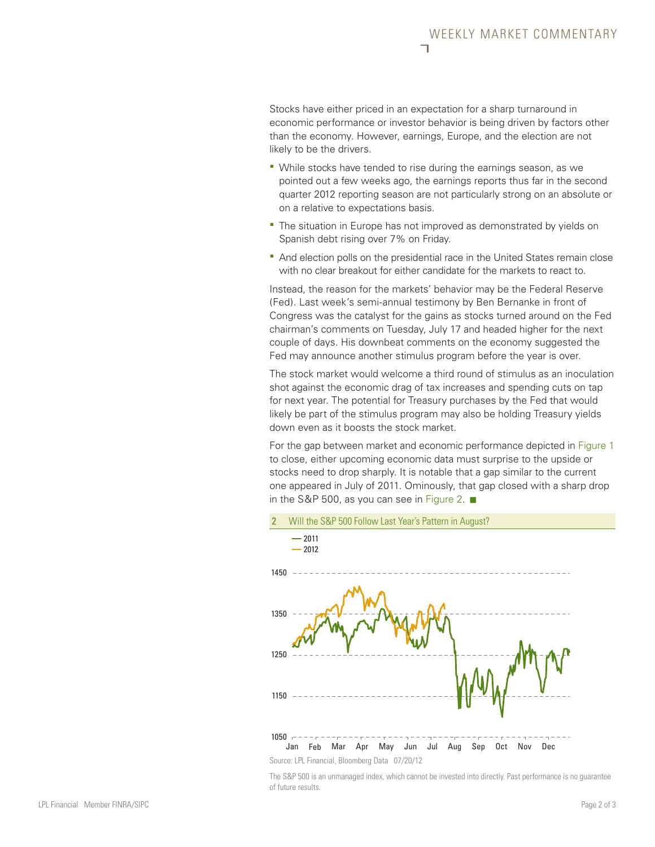Stocks have either priced in an expectation for a sharp turnaround in economic performance or investor behavior is being driven by factors other than the economy. However, earnings, Europe, and the election are not likely to be the drivers.

- While stocks have tended to rise during the earnings season, as we pointed out a few weeks ago, the earnings reports thus far in the second quarter 2012 reporting season are not particularly strong on an absolute or on a relative to expectations basis.
- The situation in Europe has not improved as demonstrated by vields on Spanish debt rising over 7% on Friday.
- And election polls on the presidential race in the United States remain close with no clear breakout for either candidate for the markets to react to.

Instead, the reason for the markets' behavior may be the Federal Reserve (Fed). Last week's semi-annual testimony by Ben Bernanke in front of Congress was the catalyst for the gains as stocks turned around on the Fed chairman's comments on Tuesday, July 17 and headed higher for the next couple of days. His downbeat comments on the economy suggested the Fed may announce another stimulus program before the year is over.

The stock market would welcome a third round of stimulus as an inoculation shot against the economic drag of tax increases and spending cuts on tap for next year. The potential for Treasury purchases by the Fed that would likely be part of the stimulus program may also be holding Treasury yields down even as it boosts the stock market.

For the gap between market and economic performance depicted in Figure 1 to close, either upcoming economic data must surprise to the upside or stocks need to drop sharply. It is notable that a gap similar to the current one appeared in July of 2011. Ominously, that gap closed with a sharp drop in the S&P 500, as you can see in Figure 2.  $\blacksquare$ 



The S&P 500 is an unmanaged index, which cannot be invested into directly. Past performance is no guarantee of future results.